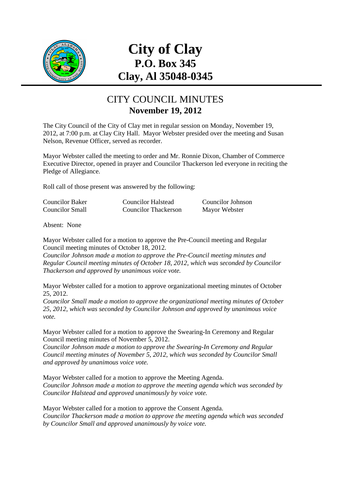

# **City of Clay P.O. Box 345 Clay, Al 35048-0345**

### CITY COUNCIL MINUTES **November 19, 2012**

The City Council of the City of Clay met in regular session on Monday, November 19, 2012, at 7:00 p.m. at Clay City Hall. Mayor Webster presided over the meeting and Susan Nelson, Revenue Officer, served as recorder.

Mayor Webster called the meeting to order and Mr. Ronnie Dixon, Chamber of Commerce Executive Director, opened in prayer and Councilor Thackerson led everyone in reciting the Pledge of Allegiance.

Roll call of those present was answered by the following:

| <b>Councilor Baker</b> | Councilor Halstead          | Councilor Johnson |
|------------------------|-----------------------------|-------------------|
| <b>Councilor Small</b> | <b>Councilor Thackerson</b> | Mayor Webster     |

Absent: None

Mayor Webster called for a motion to approve the Pre-Council meeting and Regular Council meeting minutes of October 18, 2012.

*Councilor Johnson made a motion to approve the Pre-Council meeting minutes and Regular Council meeting minutes of October 18, 2012, which was seconded by Councilor Thackerson and approved by unanimous voice vote.* 

Mayor Webster called for a motion to approve organizational meeting minutes of October 25, 2012.

*Councilor Small made a motion to approve the organizational meeting minutes of October 25, 2012, which was seconded by Councilor Johnson and approved by unanimous voice vote.*

Mayor Webster called for a motion to approve the Swearing-In Ceremony and Regular Council meeting minutes of November 5, 2012.

*Councilor Johnson made a motion to approve the Swearing-In Ceremony and Regular Council meeting minutes of November 5, 2012, which was seconded by Councilor Small and approved by unanimous voice vote.* 

Mayor Webster called for a motion to approve the Meeting Agenda. *Councilor Johnson made a motion to approve the meeting agenda which was seconded by Councilor Halstead and approved unanimously by voice vote.* 

Mayor Webster called for a motion to approve the Consent Agenda. *Councilor Thackerson made a motion to approve the meeting agenda which was seconded by Councilor Small and approved unanimously by voice vote.*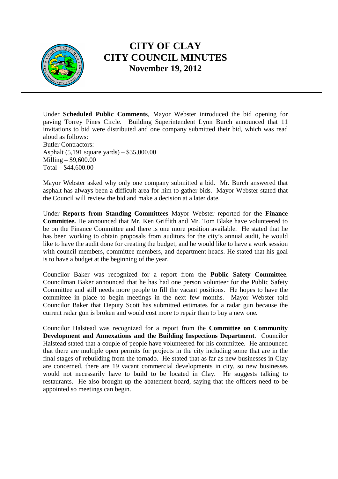

Under **Scheduled Public Comments**, Mayor Webster introduced the bid opening for paving Torrey Pines Circle. Building Superintendent Lynn Burch announced that 11 invitations to bid were distributed and one company submitted their bid, which was read aloud as follows: Butler Contractors:

Asphalt (5,191 square yards) – \$35,000.00 Milling – \$9,600.00 Total – \$44,600.00

Mayor Webster asked why only one company submitted a bid. Mr. Burch answered that asphalt has always been a difficult area for him to gather bids. Mayor Webster stated that the Council will review the bid and make a decision at a later date.

Under **Reports from Standing Committees** Mayor Webster reported for the **Finance Committee.** He announced that Mr. Ken Griffith and Mr. Tom Blake have volunteered to be on the Finance Committee and there is one more position available. He stated that he has been working to obtain proposals from auditors for the city's annual audit, he would like to have the audit done for creating the budget, and he would like to have a work session with council members, committee members, and department heads. He stated that his goal is to have a budget at the beginning of the year.

Councilor Baker was recognized for a report from the **Public Safety Committee**. Councilman Baker announced that he has had one person volunteer for the Public Safety Committee and still needs more people to fill the vacant positions. He hopes to have the committee in place to begin meetings in the next few months. Mayor Webster told Councilor Baker that Deputy Scott has submitted estimates for a radar gun because the current radar gun is broken and would cost more to repair than to buy a new one.

Councilor Halstead was recognized for a report from the **Committee on Community Development and Annexations and the Building Inspections Department**. Councilor Halstead stated that a couple of people have volunteered for his committee. He announced that there are multiple open permits for projects in the city including some that are in the final stages of rebuilding from the tornado. He stated that as far as new businesses in Clay are concerned, there are 19 vacant commercial developments in city, so new businesses would not necessarily have to build to be located in Clay. He suggests talking to restaurants. He also brought up the abatement board, saying that the officers need to be appointed so meetings can begin.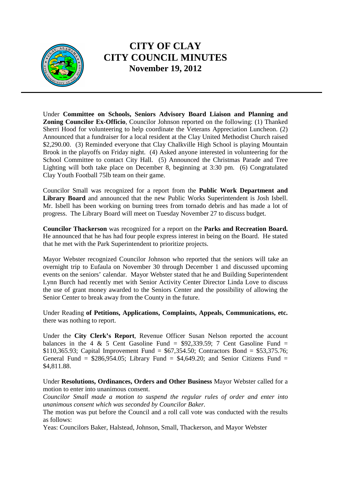

Under **Committee on Schools, Seniors Advisory Board Liaison and Planning and Zoning Councilor Ex-Officio**, Councilor Johnson reported on the following: (1) Thanked Sherri Hood for volunteering to help coordinate the Veterans Appreciation Luncheon. (2) Announced that a fundraiser for a local resident at the Clay United Methodist Church raised \$2,290.00. (3) Reminded everyone that Clay Chalkville High School is playing Mountain Brook in the playoffs on Friday night. (4) Asked anyone interested in volunteering for the School Committee to contact City Hall. (5) Announced the Christmas Parade and Tree Lighting will both take place on December 8, beginning at 3:30 pm. (6) Congratulated Clay Youth Football 75lb team on their game.

Councilor Small was recognized for a report from the **Public Work Department and Library Board** and announced that the new Public Works Superintendent is Josh Isbell. Mr. Isbell has been working on burning trees from tornado debris and has made a lot of progress. The Library Board will meet on Tuesday November 27 to discuss budget.

**Councilor Thackerson** was recognized for a report on the **Parks and Recreation Board.**  He announced that he has had four people express interest in being on the Board. He stated that he met with the Park Superintendent to prioritize projects.

Mayor Webster recognized Councilor Johnson who reported that the seniors will take an overnight trip to Eufaula on November 30 through December 1 and discussed upcoming events on the seniors' calendar. Mayor Webster stated that he and Building Superintendent Lynn Burch had recently met with Senior Activity Center Director Linda Love to discuss the use of grant money awarded to the Seniors Center and the possibility of allowing the Senior Center to break away from the County in the future.

Under Reading **of Petitions, Applications, Complaints, Appeals, Communications, etc.** there was nothing to report.

Under the **City Clerk's Report**, Revenue Officer Susan Nelson reported the account balances in the 4 & 5 Cent Gasoline Fund =  $$92,339.59$ ; 7 Cent Gasoline Fund = \$110,365.93; Capital Improvement Fund = \$67,354.50; Contractors Bond = \$53,375.76; General Fund =  $$286,954.05$ ; Library Fund =  $$4,649.20$ ; and Senior Citizens Fund = \$4,811.88.

Under **Resolutions, Ordinances, Orders and Other Business** Mayor Webster called for a motion to enter into unanimous consent.

*Councilor Small made a motion to suspend the regular rules of order and enter into unanimous consent which was seconded by Councilor Baker.* 

The motion was put before the Council and a roll call vote was conducted with the results as follows:

Yeas: Councilors Baker, Halstead, Johnson, Small, Thackerson, and Mayor Webster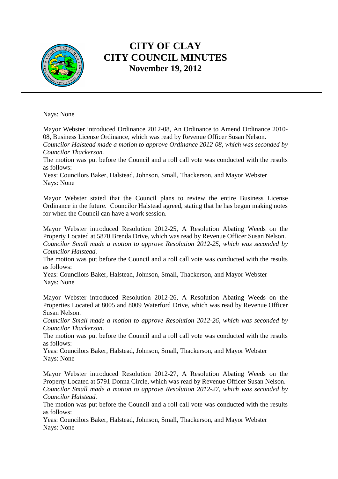

Nays: None

Mayor Webster introduced Ordinance 2012-08, An Ordinance to Amend Ordinance 2010- 08, Business License Ordinance, which was read by Revenue Officer Susan Nelson.

*Councilor Halstead made a motion to approve Ordinance 2012-08, which was seconded by Councilor Thackerson.* 

The motion was put before the Council and a roll call vote was conducted with the results as follows:

Yeas: Councilors Baker, Halstead, Johnson, Small, Thackerson, and Mayor Webster Nays: None

Mayor Webster stated that the Council plans to review the entire Business License Ordinance in the future. Councilor Halstead agreed, stating that he has begun making notes for when the Council can have a work session.

Mayor Webster introduced Resolution 2012-25, A Resolution Abating Weeds on the Property Located at 5870 Brenda Drive, which was read by Revenue Officer Susan Nelson. *Councilor Small made a motion to approve Resolution 2012-25, which was seconded by Councilor Halstead.* 

The motion was put before the Council and a roll call vote was conducted with the results as follows:

Yeas: Councilors Baker, Halstead, Johnson, Small, Thackerson, and Mayor Webster Nays: None

Mayor Webster introduced Resolution 2012-26, A Resolution Abating Weeds on the Properties Located at 8005 and 8009 Waterford Drive, which was read by Revenue Officer Susan Nelson.

*Councilor Small made a motion to approve Resolution 2012-26, which was seconded by Councilor Thackerson.* 

The motion was put before the Council and a roll call vote was conducted with the results as follows:

Yeas: Councilors Baker, Halstead, Johnson, Small, Thackerson, and Mayor Webster Nays: None

Mayor Webster introduced Resolution 2012-27, A Resolution Abating Weeds on the Property Located at 5791 Donna Circle, which was read by Revenue Officer Susan Nelson. *Councilor Small made a motion to approve Resolution 2012-27, which was seconded by Councilor Halstead.* 

The motion was put before the Council and a roll call vote was conducted with the results as follows:

Yeas: Councilors Baker, Halstead, Johnson, Small, Thackerson, and Mayor Webster Nays: None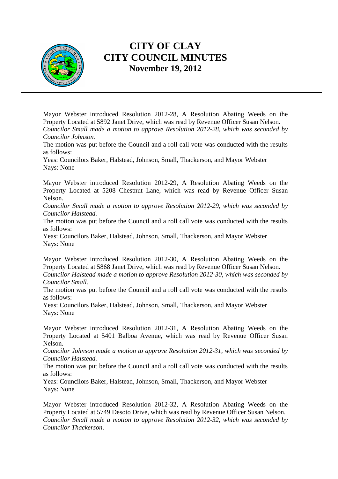

Mayor Webster introduced Resolution 2012-28, A Resolution Abating Weeds on the Property Located at 5892 Janet Drive, which was read by Revenue Officer Susan Nelson. *Councilor Small made a motion to approve Resolution 2012-28, which was seconded by Councilor Johnson.* 

The motion was put before the Council and a roll call vote was conducted with the results as follows:

Yeas: Councilors Baker, Halstead, Johnson, Small, Thackerson, and Mayor Webster Nays: None

Mayor Webster introduced Resolution 2012-29, A Resolution Abating Weeds on the Property Located at 5208 Chestnut Lane, which was read by Revenue Officer Susan Nelson.

*Councilor Small made a motion to approve Resolution 2012-29, which was seconded by Councilor Halstead.* 

The motion was put before the Council and a roll call vote was conducted with the results as follows:

Yeas: Councilors Baker, Halstead, Johnson, Small, Thackerson, and Mayor Webster Nays: None

Mayor Webster introduced Resolution 2012-30, A Resolution Abating Weeds on the Property Located at 5868 Janet Drive, which was read by Revenue Officer Susan Nelson. *Councilor Halstead made a motion to approve Resolution 2012-30, which was seconded by Councilor Small.* 

The motion was put before the Council and a roll call vote was conducted with the results as follows:

Yeas: Councilors Baker, Halstead, Johnson, Small, Thackerson, and Mayor Webster Nays: None

Mayor Webster introduced Resolution 2012-31, A Resolution Abating Weeds on the Property Located at 5401 Balboa Avenue, which was read by Revenue Officer Susan Nelson.

*Councilor Johnson made a motion to approve Resolution 2012-31, which was seconded by Councilor Halstead.* 

The motion was put before the Council and a roll call vote was conducted with the results as follows:

Yeas: Councilors Baker, Halstead, Johnson, Small, Thackerson, and Mayor Webster Nays: None

Mayor Webster introduced Resolution 2012-32, A Resolution Abating Weeds on the Property Located at 5749 Desoto Drive, which was read by Revenue Officer Susan Nelson. *Councilor Small made a motion to approve Resolution 2012-32, which was seconded by Councilor Thackerson*.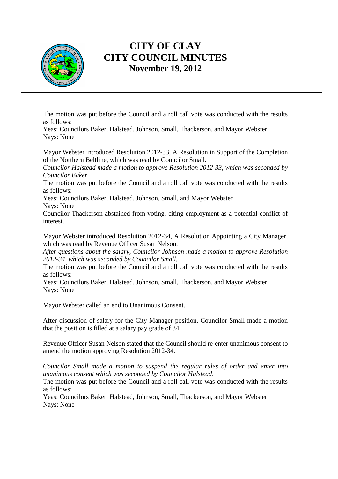

The motion was put before the Council and a roll call vote was conducted with the results as follows:

Yeas: Councilors Baker, Halstead, Johnson, Small, Thackerson, and Mayor Webster Nays: None

Mayor Webster introduced Resolution 2012-33, A Resolution in Support of the Completion of the Northern Beltline, which was read by Councilor Small.

*Councilor Halstead made a motion to approve Resolution 2012-33, which was seconded by Councilor Baker.* 

The motion was put before the Council and a roll call vote was conducted with the results as follows:

Yeas: Councilors Baker, Halstead, Johnson, Small, and Mayor Webster Nays: None

Councilor Thackerson abstained from voting, citing employment as a potential conflict of interest.

Mayor Webster introduced Resolution 2012-34, A Resolution Appointing a City Manager, which was read by Revenue Officer Susan Nelson.

*After questions about the salary, Councilor Johnson made a motion to approve Resolution 2012-34, which was seconded by Councilor Small.* 

The motion was put before the Council and a roll call vote was conducted with the results as follows:

Yeas: Councilors Baker, Halstead, Johnson, Small, Thackerson, and Mayor Webster Nays: None

Mayor Webster called an end to Unanimous Consent.

After discussion of salary for the City Manager position, Councilor Small made a motion that the position is filled at a salary pay grade of 34.

Revenue Officer Susan Nelson stated that the Council should re-enter unanimous consent to amend the motion approving Resolution 2012-34.

*Councilor Small made a motion to suspend the regular rules of order and enter into unanimous consent which was seconded by Councilor Halstead*.

The motion was put before the Council and a roll call vote was conducted with the results as follows:

Yeas: Councilors Baker, Halstead, Johnson, Small, Thackerson, and Mayor Webster Nays: None